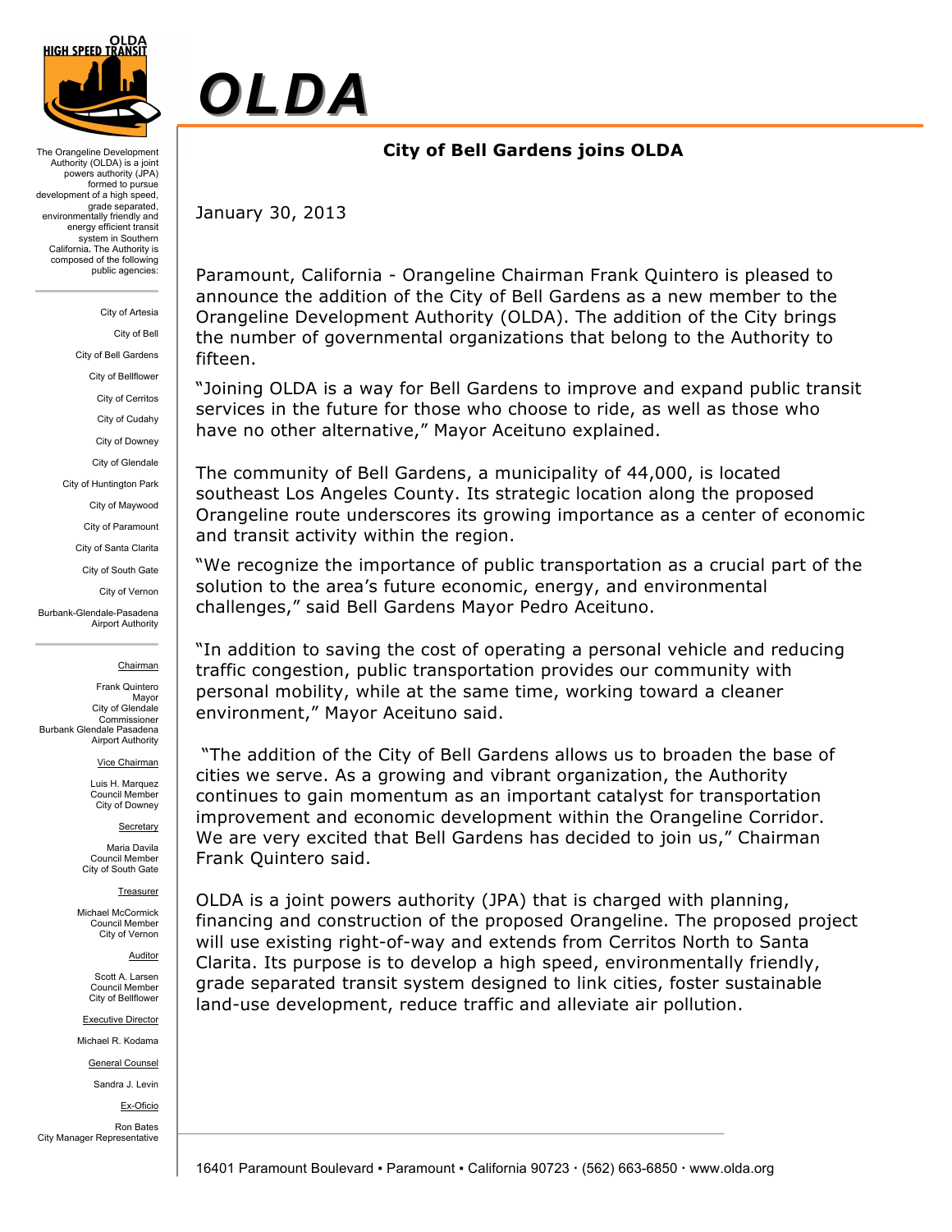

The Orangeline Development Authority (OLDA) is a joint powers authority (JPA) formed to pursue development of a high speed, grade separated, environmentally friendly and energy efficient transit system in Southern California**.** The Authority is composed of the following public agencies:

> City of Artesia City of Bell

City of Bell Gardens

City of Bellflower

City of Cerritos

City of Cudahy

City of Downey

City of Glendale

City of Huntington Park

City of Maywood

City of Paramount

City of Santa Clarita

City of South Gate

City of Vernon

Burbank-Glendale-Pasadena Airport Authority

### Chairman

Frank Quintero Mayor City of Glendale Commissioner Burbank Glendale Pasadena Airport Authority

Vice Chairman

Luis H. Marquez Council Member City of Downey

**Secretary** 

Maria Davila Council Member City of South Gate

Treasurer

Michael McCormick Council Member City of Vernon

Auditor

Scott A. Larsen Council Member City of Bellflower

Executive Director

Michael R. Kodama

General Counsel

Sandra J. Levin

Ex-Oficio

Ron Bates City Manager Representative

# *OLDA*

# **City of Bell Gardens joins OLDA**

January 30, 2013

Paramount, California - Orangeline Chairman Frank Quintero is pleased to announce the addition of the City of Bell Gardens as a new member to the Orangeline Development Authority (OLDA). The addition of the City brings the number of governmental organizations that belong to the Authority to fifteen.

"Joining OLDA is a way for Bell Gardens to improve and expand public transit services in the future for those who choose to ride, as well as those who have no other alternative," Mayor Aceituno explained.

The community of Bell Gardens, a municipality of 44,000, is located southeast Los Angeles County. Its strategic location along the proposed Orangeline route underscores its growing importance as a center of economic and transit activity within the region.

"We recognize the importance of public transportation as a crucial part of the solution to the area's future economic, energy, and environmental challenges," said Bell Gardens Mayor Pedro Aceituno.

"In addition to saving the cost of operating a personal vehicle and reducing traffic congestion, public transportation provides our community with personal mobility, while at the same time, working toward a cleaner environment," Mayor Aceituno said.

 "The addition of the City of Bell Gardens allows us to broaden the base of cities we serve. As a growing and vibrant organization, the Authority continues to gain momentum as an important catalyst for transportation improvement and economic development within the Orangeline Corridor. We are very excited that Bell Gardens has decided to join us," Chairman Frank Quintero said.

OLDA is a joint powers authority (JPA) that is charged with planning, financing and construction of the proposed Orangeline. The proposed project will use existing right-of-way and extends from Cerritos North to Santa Clarita. Its purpose is to develop a high speed, environmentally friendly, grade separated transit system designed to link cities, foster sustainable land-use development, reduce traffic and alleviate air pollution.